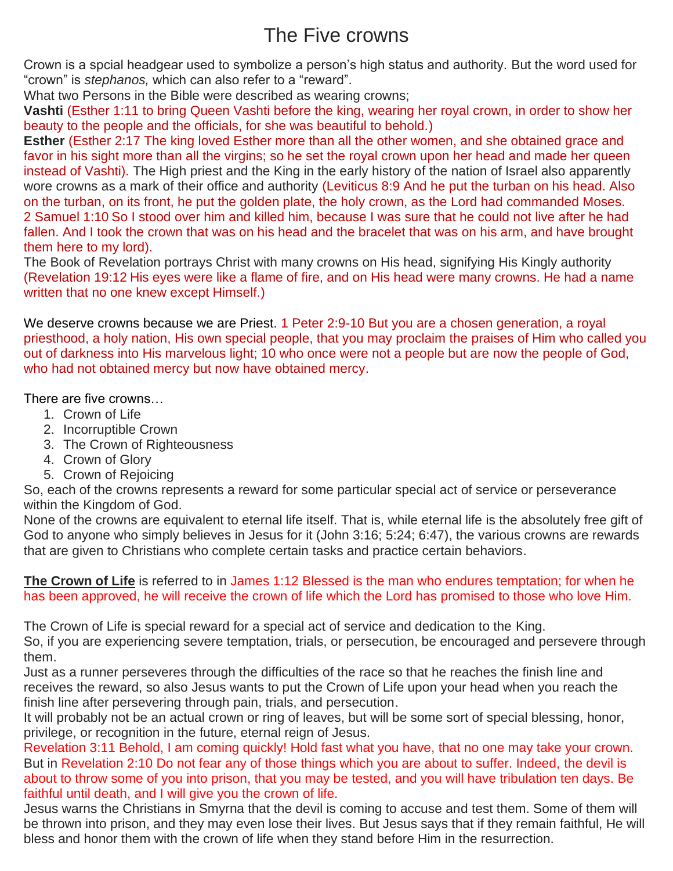## The Five crowns

Crown is a spcial headgear used to symbolize a person's high status and authority. But the word used for "crown" is *stephanos,* which can also refer to a "reward".

What two Persons in the Bible were described as wearing crowns;

**Vashti** (Esther 1:11 to bring Queen Vashti before the king, wearing her royal crown, in order to show her beauty to the people and the officials, for she was beautiful to behold.)

**Esther** (Esther 2:17 The king loved Esther more than all the other women, and she obtained grace and favor in his sight more than all the virgins; so he set the royal crown upon her head and made her queen instead of Vashti). The High priest and the King in the early history of the nation of Israel also apparently wore crowns as a mark of their office and authority (Leviticus 8:9 And he put the turban on his head. Also on the turban, on its front, he put the golden plate, the holy crown, as the Lord had commanded Moses. 2 Samuel 1:10 So I stood over him and killed him, because I was sure that he could not live after he had fallen. And I took the crown that was on his head and the bracelet that was on his arm, and have brought them here to my lord).

The Book of Revelation portrays Christ with many crowns on His head, signifying His Kingly authority (Revelation 19:12 His eyes were like a flame of fire, and on His head were many crowns. He had a name written that no one knew except Himself.)

We deserve crowns because we are Priest. 1 Peter 2:9-10 But you are a chosen generation, a royal priesthood, a holy nation, His own special people, that you may proclaim the praises of Him who called you out of darkness into His marvelous light; 10 who once were not a people but are now the people of God, who had not obtained mercy but now have obtained mercy.

There are five crowns…

- 1. Crown of Life
- 2. Incorruptible Crown
- 3. The Crown of Righteousness
- 4. Crown of Glory
- 5. Crown of Rejoicing

So, each of the crowns represents a reward for some particular special act of service or perseverance within the Kingdom of God.

None of the crowns are equivalent to eternal life itself. That is, while eternal life is the absolutely free gift of God to anyone who simply believes in Jesus for it (John 3:16; 5:24; 6:47), the various crowns are rewards that are given to Christians who complete certain tasks and practice certain behaviors.

## **The Crown of Life** is referred to in James 1:12 Blessed is the man who endures temptation; for when he has been approved, he will receive the crown of life which the Lord has promised to those who love Him.

The Crown of Life is special reward for a special act of service and dedication to the King.

So, if you are experiencing severe temptation, trials, or persecution, be encouraged and persevere through them.

Just as a runner perseveres through the difficulties of the race so that he reaches the finish line and receives the reward, so also Jesus wants to put the Crown of Life upon your head when you reach the finish line after persevering through pain, trials, and persecution.

It will probably not be an actual crown or ring of leaves, but will be some sort of special blessing, honor, privilege, or recognition in the future, eternal reign of Jesus.

Revelation 3:11 Behold, I am coming quickly! Hold fast what you have, that no one may take your crown. But in Revelation 2:10 Do not fear any of those things which you are about to suffer. Indeed, the devil is about to throw some of you into prison, that you may be tested, and you will have tribulation ten days. Be faithful until death, and I will give you the crown of life.

Jesus warns the Christians in Smyrna that the devil is coming to accuse and test them. Some of them will be thrown into prison, and they may even lose their lives. But Jesus says that if they remain faithful, He will bless and honor them with the crown of life when they stand before Him in the resurrection.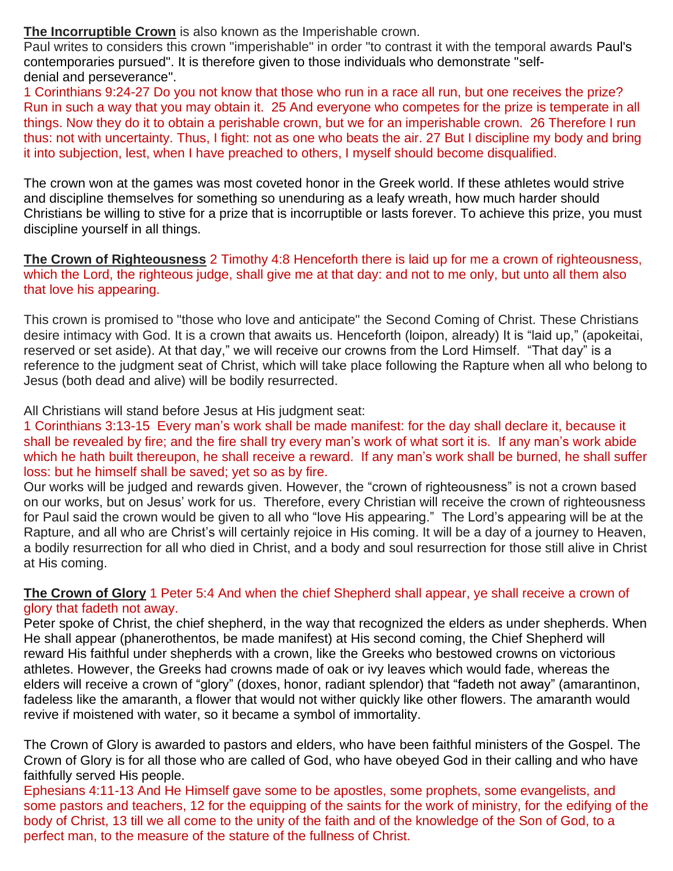**The Incorruptible Crown** is also known as the Imperishable crown.

Paul writes to considers this crown "imperishable" in order "to contrast it with the temporal awards Paul's contemporaries pursued". It is therefore given to those individuals who demonstrate ["self](https://en.wikipedia.org/wiki/Self-denial)[denial](https://en.wikipedia.org/wiki/Self-denial) and [perseverance"](https://en.wikipedia.org/wiki/Conditional_preservation_of_the_saints).

1 Corinthians 9:24-27 Do you not know that those who run in a race all run, but one receives the prize? Run in such a way that you may obtain it. 25 And everyone who competes for the prize is temperate in all things. Now they do it to obtain a perishable crown, but we for an imperishable crown. 26 Therefore I run thus: not with uncertainty. Thus, I fight: not as one who beats the air. 27 But I discipline my body and bring it into subjection, lest, when I have preached to others, I myself should become disqualified.

The crown won at the games was most coveted honor in the Greek world. If these athletes would strive and discipline themselves for something so unenduring as a leafy wreath, how much harder should Christians be willing to stive for a prize that is incorruptible or lasts forever. To achieve this prize, you must discipline yourself in all things.

## **The Crown of Righteousness** 2 Timothy 4:8 Henceforth there is laid up for me a crown of righteousness, which the Lord, the righteous judge, shall give me at that day: and not to me only, but unto all them also that love his appearing.

This crown is promised to "those who love and anticipate" the Second Coming of Christ. These Christians desire intimacy with God. It is a crown that awaits us. Henceforth (loipon, already) It is "laid up," (apokeitai, reserved or set aside). At that day," we will receive our crowns from the Lord Himself. "That day" is a reference to the judgment seat of Christ, which will take place following the Rapture when all who belong to Jesus (both dead and alive) will be bodily resurrected.

All Christians will stand before Jesus at His judgment seat:

1 [Corinthians](https://biblia.com/bible/kjv1900/1%20Cor%203.13-15) 3:13-15 Every man's work shall be made manifest: for the day shall declare it, because it shall be revealed by fire; and the fire shall try every man's work of what sort it is. If any man's work abide which he hath built thereupon, he shall receive a reward. If any man's work shall be burned, he shall suffer loss: but he himself shall be saved; yet so as by fire.

Our works will be judged and rewards given. However, the "crown of righteousness" is not a crown based on our works, but on Jesus' work for us. Therefore, every Christian will receive the crown of righteousness for Paul said the crown would be given to all who "love His appearing." The Lord's appearing will be at the Rapture, and all who are Christ's will certainly rejoice in His coming. It will be a day of a journey to Heaven, a bodily resurrection for all who died in Christ, and a body and soul resurrection for those still alive in Christ at His coming.

## **The Crown of Glory** 1 Peter 5:4 And when the chief Shepherd shall appear, ye shall receive a crown of glory that fadeth not away.

Peter spoke of Christ, the chief shepherd, in the way that recognized the elders as under shepherds. When He shall appear (phanerothentos, be made manifest) at His second coming, the Chief Shepherd will reward His faithful under shepherds with a crown, like the Greeks who bestowed crowns on victorious athletes. However, the Greeks had crowns made of oak or ivy leaves which would fade, whereas the elders will receive a crown of "glory" (doxes, honor, radiant splendor) that "fadeth not away" (amarantinon, fadeless like the amaranth, a flower that would not wither quickly like other flowers. The amaranth would revive if moistened with water, so it became a symbol of immortality.

The Crown of Glory is awarded to pastors and elders, who have been faithful ministers of the Gospel. The Crown of Glory is for all those who are called of God, who have obeyed God in their calling and who have faithfully served His people.

Ephesians 4:11-13 And He Himself gave some to be apostles, some prophets, some evangelists, and some pastors and teachers, 12 for the equipping of the saints for the work of ministry, for the edifying of the body of Christ, 13 till we all come to the unity of the faith and of the knowledge of the Son of God, to a perfect man, to the measure of the stature of the fullness of Christ.